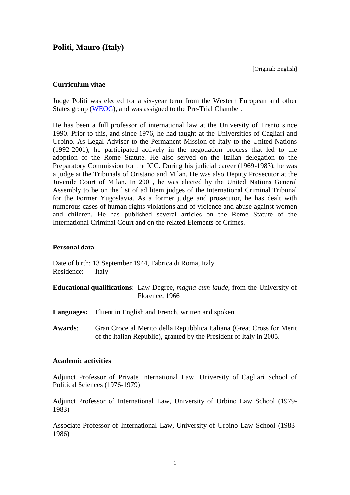# **Politi, Mauro (Italy)**

[Original: English]

# **Curriculum vitae**

Judge Politi was elected for a six-year term from the Western European and other States group [\(WEOG\)](http://www.icc-cpi.int/region&id=1.html), and was assigned to the Pre-Trial Chamber.

He has been a full professor of international law at the University of Trento since 1990. Prior to this, and since 1976, he had taught at the Universities of Cagliari and Urbino. As Legal Adviser to the Permanent Mission of Italy to the United Nations (1992-2001), he participated actively in the negotiation process that led to the adoption of the Rome Statute. He also served on the Italian delegation to the Preparatory Commission for the ICC. During his judicial career (1969-1983), he was a judge at the Tribunals of Oristano and Milan. He was also Deputy Prosecutor at the Juvenile Court of Milan. In 2001, he was elected by the United Nations General Assembly to be on the list of ad litem judges of the International Criminal Tribunal for the Former Yugoslavia. As a former judge and prosecutor, he has dealt with numerous cases of human rights violations and of violence and abuse against women and children. He has published several articles on the Rome Statute of the International Criminal Court and on the related Elements of Crimes.

### **Personal data**

Date of birth: 13 September 1944, Fabrica di Roma, Italy Residence: Italy

- **Educational qualifications**: Law Degree, *magna cum laude*, from the University of Florence, 1966
- **Languages:** Fluent in English and French, written and spoken
- **Awards**: Gran Croce al Merito della Repubblica Italiana (Great Cross for Merit of the Italian Republic), granted by the President of Italy in 2005.

#### **Academic activities**

Adjunct Professor of Private International Law, University of Cagliari School of Political Sciences (1976-1979)

Adjunct Professor of International Law, University of Urbino Law School (1979- 1983)

Associate Professor of International Law, University of Urbino Law School (1983- 1986)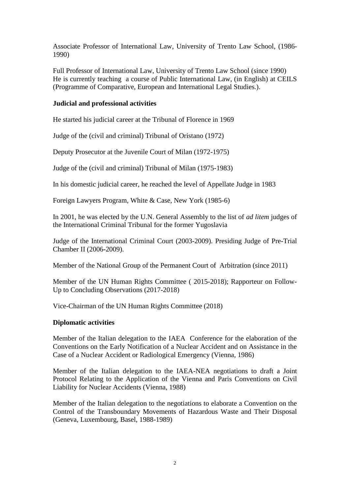Associate Professor of International Law, University of Trento Law School, (1986- 1990)

Full Professor of International Law, University of Trento Law School (since 1990) He is currently teaching a course of Public International Law, (in English) at CEILS (Programme of Comparative, European and International Legal Studies.).

# **Judicial and professional activities**

He started his judicial career at the Tribunal of Florence in 1969

Judge of the (civil and criminal) Tribunal of Oristano (1972)

Deputy Prosecutor at the Juvenile Court of Milan (1972-1975)

Judge of the (civil and criminal) Tribunal of Milan (1975-1983)

In his domestic judicial career, he reached the level of Appellate Judge in 1983

Foreign Lawyers Program, White & Case, New York (1985-6)

In 2001, he was elected by the U.N. General Assembly to the list of *ad litem* judges of the International Criminal Tribunal for the former Yugoslavia

Judge of the International Criminal Court (2003-2009). Presiding Judge of Pre-Trial Chamber II (2006-2009).

Member of the National Group of the Permanent Court of Arbitration (since 2011)

Member of the UN Human Rights Committee ( 2015-2018); Rapporteur on Follow-Up to Concluding Observations (2017-2018)

Vice-Chairman of the UN Human Rights Committee (2018)

## **Diplomatic activities**

Member of the Italian delegation to the IAEA Conference for the elaboration of the Conventions on the Early Notification of a Nuclear Accident and on Assistance in the Case of a Nuclear Accident or Radiological Emergency (Vienna, 1986)

Member of the Italian delegation to the IAEA-NEA negotiations to draft a Joint Protocol Relating to the Application of the Vienna and Paris Conventions on Civil Liability for Nuclear Accidents (Vienna, 1988)

Member of the Italian delegation to the negotiations to elaborate a Convention on the Control of the Transboundary Movements of Hazardous Waste and Their Disposal (Geneva, Luxembourg, Basel, 1988-1989)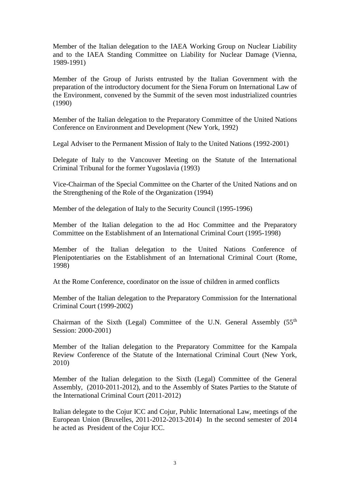Member of the Italian delegation to the IAEA Working Group on Nuclear Liability and to the IAEA Standing Committee on Liability for Nuclear Damage (Vienna, 1989-1991)

Member of the Group of Jurists entrusted by the Italian Government with the preparation of the introductory document for the Siena Forum on International Law of the Environment, convened by the Summit of the seven most industrialized countries (1990)

Member of the Italian delegation to the Preparatory Committee of the United Nations Conference on Environment and Development (New York, 1992)

Legal Adviser to the Permanent Mission of Italy to the United Nations (1992-2001)

Delegate of Italy to the Vancouver Meeting on the Statute of the International Criminal Tribunal for the former Yugoslavia (1993)

Vice-Chairman of the Special Committee on the Charter of the United Nations and on the Strengthening of the Role of the Organization (1994)

Member of the delegation of Italy to the Security Council (1995-1996)

Member of the Italian delegation to the ad Hoc Committee and the Preparatory Committee on the Establishment of an International Criminal Court (1995-1998)

Member of the Italian delegation to the United Nations Conference of Plenipotentiaries on the Establishment of an International Criminal Court (Rome, 1998)

At the Rome Conference, coordinator on the issue of children in armed conflicts

Member of the Italian delegation to the Preparatory Commission for the International Criminal Court (1999-2002)

Chairman of the Sixth (Legal) Committee of the U.N. General Assembly (55<sup>th</sup> Session: 2000-2001)

Member of the Italian delegation to the Preparatory Committee for the Kampala Review Conference of the Statute of the International Criminal Court (New York, 2010)

Member of the Italian delegation to the Sixth (Legal) Committee of the General Assembly, (2010-2011-2012), and to the Assembly of States Parties to the Statute of the International Criminal Court (2011-2012)

Italian delegate to the Cojur ICC and Cojur, Public International Law, meetings of the European Union (Bruxelles, 2011-2012-2013-2014) In the second semester of 2014 he acted as President of the Cojur ICC.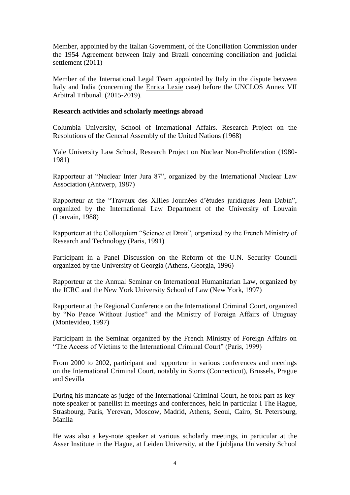Member, appointed by the Italian Government, of the Conciliation Commission under the 1954 Agreement between Italy and Brazil concerning conciliation and judicial settlement (2011)

Member of the International Legal Team appointed by Italy in the dispute between Italy and India (concerning the Enrica Lexie case) before the UNCLOS Annex VII Arbitral Tribunal. (2015-2019).

#### **Research activities and scholarly meetings abroad**

Columbia University, School of International Affairs. Research Project on the Resolutions of the General Assembly of the United Nations (1968)

Yale University Law School, Research Project on Nuclear Non-Proliferation (1980- 1981)

Rapporteur at "Nuclear Inter Jura 87", organized by the International Nuclear Law Association (Antwerp, 1987)

Rapporteur at the "Travaux des XIIIes Journées d'études juridiques Jean Dabin", organized by the International Law Department of the University of Louvain (Louvain, 1988)

Rapporteur at the Colloquium "Science et Droit", organized by the French Ministry of Research and Technology (Paris, 1991)

Participant in a Panel Discussion on the Reform of the U.N. Security Council organized by the University of Georgia (Athens, Georgia, 1996)

Rapporteur at the Annual Seminar on International Humanitarian Law, organized by the ICRC and the New York University School of Law (New York, 1997)

Rapporteur at the Regional Conference on the International Criminal Court, organized by "No Peace Without Justice" and the Ministry of Foreign Affairs of Uruguay (Montevideo, 1997)

Participant in the Seminar organized by the French Ministry of Foreign Affairs on "The Access of Victims to the International Criminal Court" (Paris, 1999)

From 2000 to 2002, participant and rapporteur in various conferences and meetings on the International Criminal Court, notably in Storrs (Connecticut), Brussels, Prague and Sevilla

During his mandate as judge of the International Criminal Court, he took part as keynote speaker or panellist in meetings and conferences, held in particular I The Hague, Strasbourg, Paris, Yerevan, Moscow, Madrid, Athens, Seoul, Cairo, St. Petersburg, Manila

He was also a key-note speaker at various scholarly meetings, in particular at the Asser Institute in the Hague, at Leiden University, at the Ljubljana University School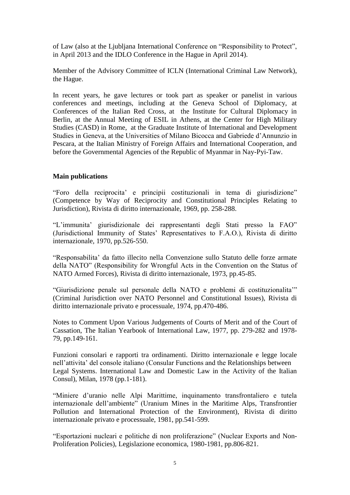of Law (also at the Ljubljana International Conference on "Responsibility to Protect", in April 2013 and the IDLO Conference in the Hague in April 2014).

Member of the Advisory Committee of ICLN (International Criminal Law Network), the Hague.

In recent years, he gave lectures or took part as speaker or panelist in various conferences and meetings, including at the Geneva School of Diplomacy, at Conferences of the Italian Red Cross, at the Institute for Cultural Diplomacy in Berlin, at the Annual Meeting of ESIL in Athens, at the Center for High Military Studies (CASD) in Rome, at the Graduate Institute of International and Development Studies in Geneva, at the Universities of Milano Bicocca and Gabriede d'Annunzio in Pescara, at the Italian Ministry of Foreign Affairs and International Cooperation, and before the Governmental Agencies of the Republic of Myanmar in Nay-Pyi-Taw.

## **Main publications**

"Foro della reciprocita' e principii costituzionali in tema di giurisdizione" (Competence by Way of Reciprocity and Constitutional Principles Relating to Jurisdiction), Rivista di diritto internazionale, 1969, pp. 258-288.

"L'immunita' giurisdizionale dei rappresentanti degli Stati presso la FAO" (Jurisdictional Immunity of States' Representatives to F.A.O.), Rivista di diritto internazionale, 1970, pp.526-550.

"Responsabilita' da fatto illecito nella Convenzione sullo Statuto delle forze armate della NATO" (Responsibility for Wrongful Acts in the Convention on the Status of NATO Armed Forces), Rivista di diritto internazionale, 1973, pp.45-85.

"Giurisdizione penale sul personale della NATO e problemi di costituzionalita'" (Criminal Jurisdiction over NATO Personnel and Constitutional Issues), Rivista di diritto internazionale privato e processuale, 1974, pp.470-486.

Notes to Comment Upon Various Judgements of Courts of Merit and of the Court of Cassation, The Italian Yearbook of International Law, 1977, pp. 279-282 and 1978- 79, pp.149-161.

Funzioni consolari e rapporti tra ordinamenti. Diritto internazionale e legge locale nell'attivita' del console italiano (Consular Functions and the Relationships between Legal Systems. International Law and Domestic Law in the Activity of the Italian Consul), Milan, 1978 (pp.1-181).

"Miniere d'uranio nelle Alpi Marittime, inquinamento transfrontaliero e tutela internazionale dell'ambiente" (Uranium Mines in the Maritime Alps, Transfrontier Pollution and International Protection of the Environment), Rivista di diritto internazionale privato e processuale, 1981, pp.541-599.

"Esportazioni nucleari e politiche di non proliferazione" (Nuclear Exports and Non-Proliferation Policies), Legislazione economica, 1980-1981, pp.806-821.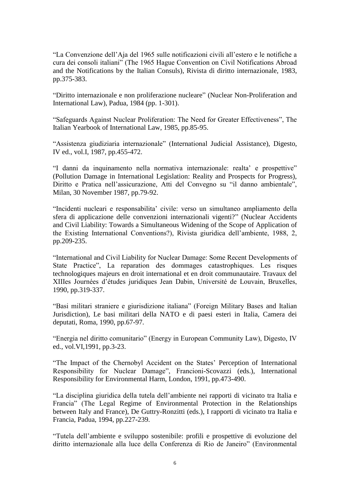"La Convenzione dell'Aja del 1965 sulle notificazioni civili all'estero e le notifiche a cura dei consoli italiani" (The 1965 Hague Convention on Civil Notifications Abroad and the Notifications by the Italian Consuls), Rivista di diritto internazionale, 1983, pp.375-383.

"Diritto internazionale e non proliferazione nucleare" (Nuclear Non-Proliferation and International Law), Padua, 1984 (pp. 1-301).

"Safeguards Against Nuclear Proliferation: The Need for Greater Effectiveness", The Italian Yearbook of International Law, 1985, pp.85-95.

"Assistenza giudiziaria internazionale" (International Judicial Assistance), Digesto, IV ed., vol.I, 1987, pp.455-472.

"I danni da inquinamento nella normativa internazionale: realta' e prospettive" (Pollution Damage in International Legislation: Reality and Prospects for Progress), Diritto e Pratica nell'assicurazione, Atti del Convegno su "il danno ambientale", Milan, 30 November 1987, pp.79-92.

"Incidenti nucleari e responsabilita' civile: verso un simultaneo ampliamento della sfera di applicazione delle convenzioni internazionali vigenti?" (Nuclear Accidents and Civil Liability: Towards a Simultaneous Widening of the Scope of Application of the Existing International Conventions?), Rivista giuridica dell'ambiente, 1988, 2, pp.209-235.

"International and Civil Liability for Nuclear Damage: Some Recent Developments of State Practice", La reparation des dommages catastrophiques. Les risques technologiques majeurs en droit international et en droit communautaire. Travaux del XIIIes Journées d'études juridiques Jean Dabin, Université de Louvain, Bruxelles, 1990, pp.319-337.

"Basi militari straniere e giurisdizione italiana" (Foreign Military Bases and Italian Jurisdiction), Le basi militari della NATO e di paesi esteri in Italia, Camera dei deputati, Roma, 1990, pp.67-97.

"Energia nel diritto comunitario" (Energy in European Community Law), Digesto, IV ed., vol.VI,1991, pp.3-23.

"The Impact of the Chernobyl Accident on the States' Perception of International Responsibility for Nuclear Damage", Francioni-Scovazzi (eds.), International Responsibility for Environmental Harm, London, 1991, pp.473-490.

"La disciplina giuridica della tutela dell'ambiente nei rapporti di vicinato tra Italia e Francia" (The Legal Regime of Environmental Protection in the Relationships between Italy and France), De Guttry-Ronzitti (eds.), I rapporti di vicinato tra Italia e Francia, Padua, 1994, pp.227-239.

"Tutela dell'ambiente e sviluppo sostenibile: profili e prospettive di evoluzione del diritto internazionale alla luce della Conferenza di Rio de Janeiro" (Environmental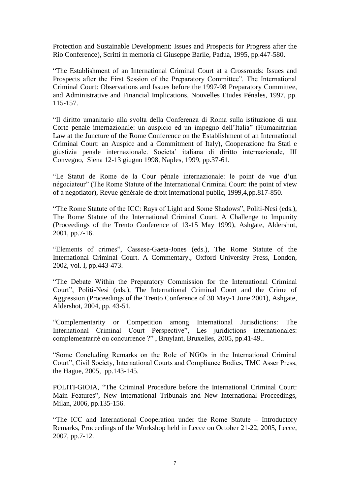Protection and Sustainable Development: Issues and Prospects for Progress after the Rio Conference), Scritti in memoria di Giuseppe Barile, Padua, 1995, pp.447-580.

"The Establishment of an International Criminal Court at a Crossroads: Issues and Prospects after the First Session of the Preparatory Committee". The International Criminal Court: Observations and Issues before the 1997-98 Preparatory Committee, and Administrative and Financial Implications, Nouvelles Etudes Pénales, 1997, pp. 115-157.

"Il diritto umanitario alla svolta della Conferenza di Roma sulla istituzione di una Corte penale internazionale: un auspicio ed un impegno dell'Italia" (Humanitarian Law at the Juncture of the Rome Conference on the Establishment of an International Criminal Court: an Auspice and a Commitment of Italy), Cooperazione fra Stati e giustizia penale internazionale. Societa' italiana di diritto internazionale, III Convegno, Siena 12-13 giugno 1998, Naples, 1999, pp.37-61.

"Le Statut de Rome de la Cour pénale internazionale: le point de vue d'un négociateur" (The Rome Statute of the International Criminal Court: the point of view of a negotiator), Revue générale de droit international public, 1999,4,pp.817-850.

"The Rome Statute of the ICC: Rays of Light and Some Shadows", Politi-Nesi (eds.), The Rome Statute of the International Criminal Court. A Challenge to Impunity (Proceedings of the Trento Conference of 13-15 May 1999), Ashgate, Aldershot, 2001, pp.7-16.

"Elements of crimes", Cassese-Gaeta-Jones (eds.), The Rome Statute of the International Criminal Court. A Commentary., Oxford University Press, London, 2002, vol. I, pp.443-473.

"The Debate Within the Preparatory Commission for the International Criminal Court", Politi-Nesi (eds.), The International Criminal Court and the Crime of Aggression (Proceedings of the Trento Conference of 30 May-1 June 2001), Ashgate, Aldershot, 2004, pp. 43-51.

"Complementarity or Competition among International Jurisdictions: The International Criminal Court Perspective", Les juridictions internationales: complementarité ou concurrence ?" , Bruylant, Bruxelles, 2005, pp.41-49..

"Some Concluding Remarks on the Role of NGOs in the International Criminal Court", Civil Society, International Courts and Compliance Bodies, TMC Asser Press, the Hague, 2005, pp.143-145.

POLITI-GIOIA, "The Criminal Procedure before the International Criminal Court: Main Features", New International Tribunals and New International Proceedings, Milan, 2006, pp.135-156.

"The ICC and International Cooperation under the Rome Statute – Introductory Remarks, Proceedings of the Workshop held in Lecce on October 21-22, 2005, Lecce, 2007, pp.7-12.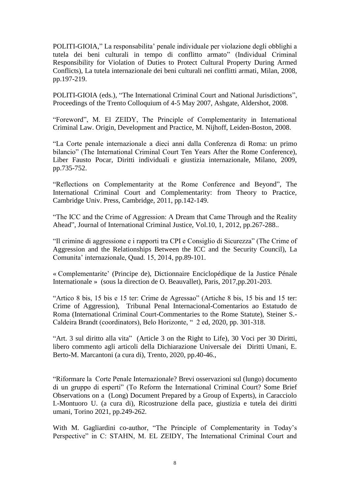POLITI-GIOIA," La responsabilita' penale individuale per violazione degli obblighi a tutela dei beni culturali in tempo di conflitto armato" (Individual Criminal Responsibility for Violation of Duties to Protect Cultural Property During Armed Conflicts), La tutela internazionale dei beni culturali nei conflitti armati, Milan, 2008, pp.197-219.

POLITI-GIOIA (eds.), "The International Criminal Court and National Jurisdictions", Proceedings of the Trento Colloquium of 4-5 May 2007, Ashgate, Aldershot, 2008.

"Foreword", M. El ZEIDY, The Principle of Complementarity in International Criminal Law. Origin, Development and Practice, M. Nijhoff, Leiden-Boston, 2008.

"La Corte penale internazionale a dieci anni dalla Conferenza di Roma: un primo bilancio" (The International Criminal Court Ten Years After the Rome Conference), Liber Fausto Pocar, Diritti individuali e giustizia internazionale, Milano, 2009, pp.735-752.

"Reflections on Complementarity at the Rome Conference and Beyond", The International Criminal Court and Complementarity: from Theory to Practice, Cambridge Univ. Press, Cambridge, 2011, pp.142-149.

"The ICC and the Crime of Aggression: A Dream that Came Through and the Reality Ahead", Journal of International Criminal Justice, Vol.10, 1, 2012, pp.267-288..

"Il crimine di aggressione e i rapporti tra CPI e Consiglio di Sicurezza" (The Crime of Aggression and the Relationships Between the ICC and the Security Council), La Comunita' internazionale, Quad. 15, 2014, pp.89-101.

« Complementarite' (Principe de), Dictionnaire Enciclopédique de la Justice Pénale Internationale » (sous la direction de O. Beauvallet), Paris, 2017,pp.201-203.

"Artico 8 bis, 15 bis e 15 ter: Crime de Agressao" (Artiche 8 bis, 15 bis and 15 ter: Crime of Aggression), Tribunal Penal Internacional-Comentarios ao Estatudo de Roma (International Criminal Court-Commentaries to the Rome Statute), Steiner S.- Caldeira Brandt (coordinators), Belo Horizonte, " 2 ed, 2020, pp. 301-318.

"Art. 3 sul diritto alla vita" (Article 3 on the Right to Life), 30 Voci per 30 Diritti, libero commento agli articoli della Dichiarazione Universale dei Diritti Umani, E. Berto-M. Marcantoni (a cura di), Trento, 2020, pp.40-46.,

"Riformare la Corte Penale Internazionale? Brevi osservazioni sul (lungo) documento di un gruppo di esperti" (To Reform the International Criminal Court? Some Brief Observations on a (Long) Document Prepared by a Group of Experts), in Caracciolo I.-Montuoro U. (a cura di), Ricostruzione della pace, giustizia e tutela dei diritti umani, Torino 2021, pp.249-262.

With M. Gagliardini co-author, "The Principle of Complementarity in Today's Perspective" in C: STAHN, M. EL ZEIDY, The International Criminal Court and